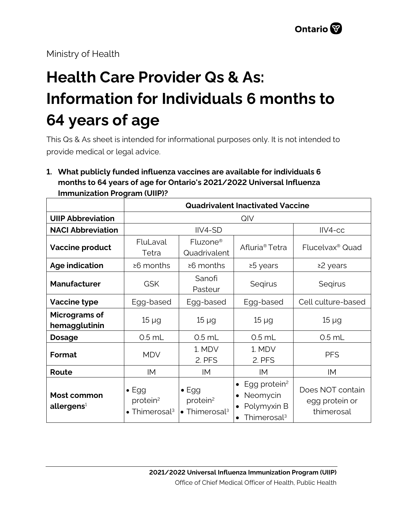Ministry of Health

# **Health Care Provider Qs & As: Information for Individuals 6 months to 64 years of age**

This Qs & As sheet is intended for informational purposes only. It is not intended to provide medical or legal advice.

# **1. What publicly funded influenza vaccines are available for individuals 6 months to 64 years of age for Ontario's 2021/2022 Universal Influenza Immunization Program (UIIP)?**

|                                       | <b>Quadrivalent Inactivated Vaccine</b>                                    |                                                                            |                                                                                |                                                  |
|---------------------------------------|----------------------------------------------------------------------------|----------------------------------------------------------------------------|--------------------------------------------------------------------------------|--------------------------------------------------|
| <b>UIIP Abbreviation</b>              | QIV                                                                        |                                                                            |                                                                                |                                                  |
| <b>NACI Abbreviation</b>              | IIV4-SD                                                                    |                                                                            |                                                                                | $IIV4-cc$                                        |
| <b>Vaccine product</b>                | FluLaval<br>Tetra                                                          | Fluzone <sup>®</sup><br>Quadrivalent                                       | Afluria <sup>®</sup> Tetra                                                     | Flucelvax <sup>®</sup> Quad                      |
| <b>Age indication</b>                 | ≥6 months                                                                  | $\geq 6$ months                                                            | ≥5 years                                                                       | ≥2 years                                         |
| <b>Manufacturer</b>                   | <b>GSK</b>                                                                 | Sanofi<br>Pasteur                                                          | Segirus                                                                        | Segirus                                          |
| <b>Vaccine type</b>                   | Egg-based                                                                  | Egg-based                                                                  | Egg-based                                                                      | Cell culture-based                               |
| Micrograms of<br>hemagglutinin        | $15 \mu g$                                                                 | $15 \mu g$                                                                 | $15 \mu g$                                                                     | $15 \mu g$                                       |
| <b>Dosage</b>                         | $0.5$ mL                                                                   | $0.5$ mL                                                                   | $0.5$ mL                                                                       | $0.5$ mL                                         |
| Format                                | <b>MDV</b>                                                                 | 1. MDV<br>2. PFS                                                           | 1. MDV<br>2. PFS                                                               | <b>PFS</b>                                       |
| Route                                 | IM                                                                         | IM                                                                         | IM                                                                             | IM                                               |
| Most common<br>allergens <sup>1</sup> | $\bullet$ Egg<br>protein <sup>2</sup><br>$\bullet$ Thimerosal <sup>3</sup> | $\bullet$ Egg<br>protein <sup>2</sup><br>$\bullet$ Thimerosal <sup>3</sup> | Egg protein <sup>2</sup><br>Neomycin<br>Polymyxin B<br>Thimerosal <sup>3</sup> | Does NOT contain<br>egg protein or<br>thimerosal |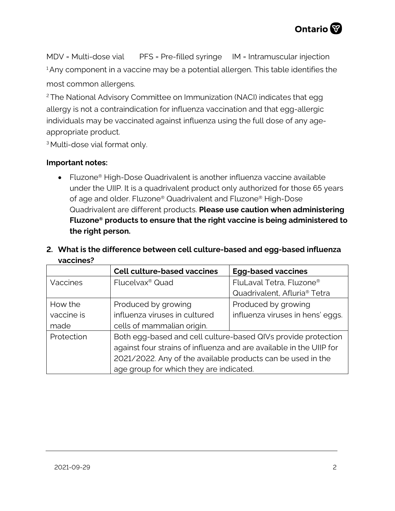

MDV = Multi-dose vial PFS = Pre-filled syringe IM = Intramuscular injection <sup>1</sup> Any component in a vaccine may be a potential allergen. This table identifies the most common allergens.

<sup>2</sup>The National Advisory Committee on Immunization (NACI) indicates that egg allergy is not a contraindication for influenza vaccination and that egg-allergic individuals may be vaccinated against influenza using the full dose of any ageappropriate product.

<sup>3</sup> Multi-dose vial format only.

#### **Important notes:**

• Fluzone® High-Dose Quadrivalent is another influenza vaccine available under the UIIP. It is a quadrivalent product only authorized for those 65 years of age and older. Fluzone® Quadrivalent and Fluzone® High-Dose Quadrivalent are different products. **Please use caution when administering Fluzone® products to ensure that the right vaccine is being administered to the right person.**

|                 | <b>Cell culture-based vaccines</b>                                  | <b>Egg-based vaccines</b>                |  |  |
|-----------------|---------------------------------------------------------------------|------------------------------------------|--|--|
| <b>Vaccines</b> | Flucelvax <sup>®</sup> Quad                                         | FluLaval Tetra, Fluzone <sup>®</sup>     |  |  |
|                 |                                                                     | Quadrivalent, Afluria <sup>®</sup> Tetra |  |  |
| How the         | Produced by growing                                                 | Produced by growing                      |  |  |
| vaccine is      | influenza viruses in cultured                                       | influenza viruses in hens' eggs.         |  |  |
| made            | cells of mammalian origin.                                          |                                          |  |  |
| Protection      | Both egg-based and cell culture-based QIVs provide protection       |                                          |  |  |
|                 | against four strains of influenza and are available in the UIIP for |                                          |  |  |
|                 | 2021/2022. Any of the available products can be used in the         |                                          |  |  |
|                 | age group for which they are indicated.                             |                                          |  |  |

**2. What is the difference between cell culture-based and egg-based influenza vaccines?**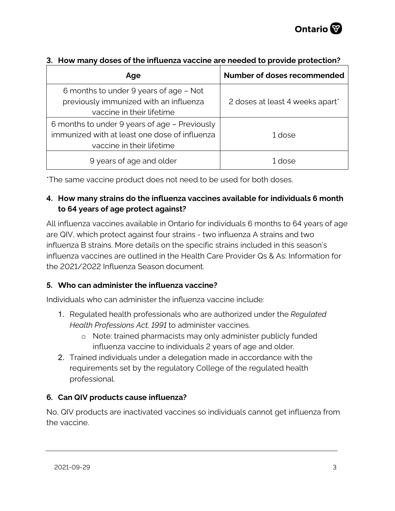| Age                                                                                                                         | Number of doses recommended     |
|-----------------------------------------------------------------------------------------------------------------------------|---------------------------------|
| 6 months to under 9 years of age - Not<br>previously immunized with an influenza<br>vaccine in their lifetime               | 2 doses at least 4 weeks apart* |
| 6 months to under 9 years of age - Previously<br>immunized with at least one dose of influenza<br>vaccine in their lifetime | 1 dose                          |
| 9 years of age and older                                                                                                    | azoh 1                          |

## **3. How many doses of the influenza vaccine are needed to provide protection?**

\*The same vaccine product does not need to be used for both doses.

## **4. How many strains do the influenza vaccines available for individuals 6 month to 64 years of age protect against?**

All influenza vaccines available in Ontario for individuals 6 months to 64 years of age are QIV, which protect against four strains - two influenza A strains and two influenza B strains. More details on the specific strains included in this season's influenza vaccines are outlined in the Health Care Provider Qs & As: Information for the 2021/2022 Influenza Season document.

## **5. Who can administer the influenza vaccine?**

Individuals who can administer the influenza vaccine include:

- 1. Regulated health professionals who are authorized under the *Regulated Health Professions Act, 1991* to administer vaccines.
	- o Note: trained pharmacists may only administer publicly funded influenza vaccine to individuals 2 years of age and older.
- 2. Trained individuals under a delegation made in accordance with the requirements set by the regulatory College of the regulated health professional.

## **6. Can QIV products cause influenza?**

No, QIV products are inactivated vaccines so individuals cannot get influenza from the vaccine.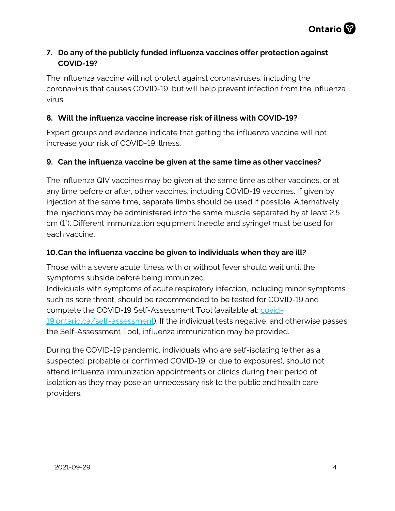

## **7. Do any of the publicly funded influenza vaccines offer protection against COVID-19?**

The influenza vaccine will not protect against coronaviruses, including the coronavirus that causes COVID-19, but will help prevent infection from the influenza virus.

## **8. Will the influenza vaccine increase risk of illness with COVID-19?**

Expert groups and evidence indicate that getting the influenza vaccine will not increase your risk of COVID-19 illness.

## **9. Can the influenza vaccine be given at the same time as other vaccines?**

The influenza QIV vaccines may be given at the same time as other vaccines, or at any time before or after, other vaccines, including COVID-19 vaccines. If given by injection at the same time, separate limbs should be used if possible. Alternatively, the injections may be administered into the same muscle separated by at least 2.5 cm (1"). Different immunization equipment (needle and syringe) must be used for each vaccine.

#### **10.Can the influenza vaccine be given to individuals when they are ill?**

Those with a severe acute illness with or without fever should wait until the symptoms subside before being immunized.

Individuals with symptoms of acute respiratory infection, including minor symptoms such as sore throat, should be recommended to be tested for COVID-19 and complete the COVID-19 Self-Assessment Tool (available at: [covid-](http://covid-19.ontario.ca/self-assessment)[19.ontario.ca/self-assessment\)](http://covid-19.ontario.ca/self-assessment). If the individual tests negative, and otherwise passes the Self-Assessment Tool, influenza immunization may be provided.

During the COVID-19 pandemic, individuals who are self-isolating (either as a suspected, probable or confirmed COVID-19, or due to exposures), should not attend influenza immunization appointments or clinics during their period of isolation as they may pose an unnecessary risk to the public and health care providers.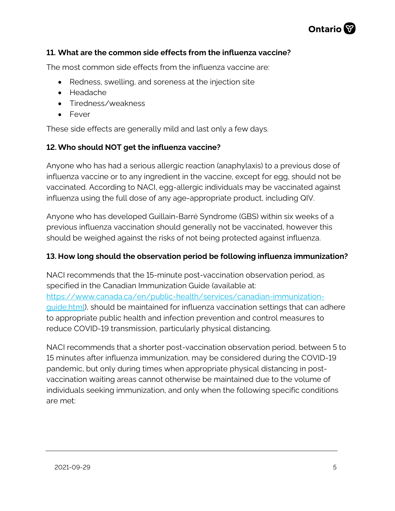

#### **11. What are the common side effects from the influenza vaccine?**

The most common side effects from the influenza vaccine are:

- Redness, swelling, and soreness at the injection site
- Headache
- Tiredness/weakness
- Fever

These side effects are generally mild and last only a few days.

## **12.Who should NOT get the influenza vaccine?**

Anyone who has had a serious allergic reaction (anaphylaxis) to a previous dose of influenza vaccine or to any ingredient in the vaccine, except for egg, should not be vaccinated. According to NACI, egg-allergic individuals may be vaccinated against influenza using the full dose of any age-appropriate product, including QIV.

Anyone who has developed Guillain-Barré Syndrome (GBS) within six weeks of a previous influenza vaccination should generally not be vaccinated, however this should be weighed against the risks of not being protected against influenza.

#### **13. How long should the observation period be following influenza immunization?**

NACI recommends that the 15-minute post-vaccination observation period, as specified in the Canadian Immunization Guide (available at: [https://www.canada.ca/en/public-health/services/canadian-immunization](https://www.canada.ca/en/public-health/services/canadian-immunization-guide.html)[guide.html\)](https://www.canada.ca/en/public-health/services/canadian-immunization-guide.html), should be maintained for influenza vaccination settings that can adhere to appropriate public health and infection prevention and control measures to reduce COVID-19 transmission, particularly physical distancing.

NACI recommends that a shorter post-vaccination observation period, between 5 to 15 minutes after influenza immunization, may be considered during the COVID-19 pandemic, but only during times when appropriate physical distancing in postvaccination waiting areas cannot otherwise be maintained due to the volume of individuals seeking immunization, and only when the following specific conditions are met: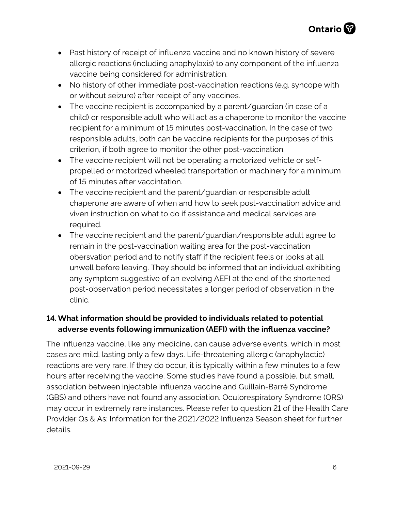- Past history of receipt of influenza vaccine and no known history of severe allergic reactions (including anaphylaxis) to any component of the influenza vaccine being considered for administration.
- No history of other immediate post-vaccination reactions (e.g. syncope with or without seizure) after receipt of any vaccines.
- The vaccine recipient is accompanied by a parent/guardian (in case of a child) or responsible adult who will act as a chaperone to monitor the vaccine recipient for a minimum of 15 minutes post-vaccination. In the case of two responsible adults, both can be vaccine recipients for the purposes of this criterion, if both agree to monitor the other post-vaccination.
- The vaccine recipient will not be operating a motorized vehicle or selfpropelled or motorized wheeled transportation or machinery for a minimum of 15 minutes after vaccintation.
- The vaccine recipient and the parent/quardian or responsible adult chaperone are aware of when and how to seek post-vaccination advice and viven instruction on what to do if assistance and medical services are required.
- The vaccine recipient and the parent/guardian/responsible adult agree to remain in the post-vaccination waiting area for the post-vaccination obersvation period and to notify staff if the recipient feels or looks at all unwell before leaving. They should be informed that an individual exhibiting any symptom suggestive of an evolving AEFI at the end of the shortened post-observation period necessitates a longer period of observation in the clinic.

## **14. What information should be provided to individuals related to potential adverse events following immunization (AEFI) with the influenza vaccine?**

The influenza vaccine, like any medicine, can cause adverse events, which in most cases are mild, lasting only a few days. Life-threatening allergic (anaphylactic) reactions are very rare. If they do occur, it is typically within a few minutes to a few hours after receiving the vaccine. Some studies have found a possible, but small, association between injectable influenza vaccine and Guillain-Barré Syndrome (GBS) and others have not found any association. Oculorespiratory Syndrome (ORS) may occur in extremely rare instances. Please refer to question 21 of the Health Care Provider Qs & As: Information for the 2021/2022 Influenza Season sheet for further details.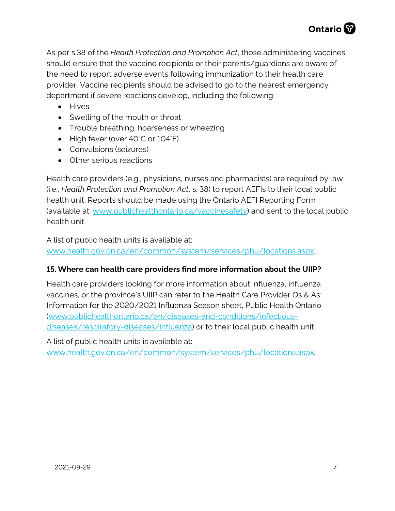

As per s.38 of the *Health Protection and Promotion Act*, those administering vaccines should ensure that the vaccine recipients or their parents/guardians are aware of the need to report adverse events following immunization to their health care provider. Vaccine recipients should be advised to go to the nearest emergency department if severe reactions develop, including the following:

- Hives
- Swelling of the mouth or throat
- Trouble breathing, hoarseness or wheezing
- High fever (over 40°C or 104°F)
- Convulsions (seizures)
- Other serious reactions

Health care providers (e.g., physicians, nurses and pharmacists) are required by law (i.e., *Health Protection and Promotion Act*, s. 38) to report AEFIs to their local public health unit. Reports should be made using the Ontario AEFI Reporting Form (available at: [www.publichealthontario.ca/vaccinesafety\)](http://www.publichealthontario.ca/vaccinesafety) and sent to the local public health unit.

A list of public health units is available at:

[www.health.gov.on.ca/en/common/system/services/phu/locations.aspx.](http://www.health.gov.on.ca/en/common/system/services/phu/locations.aspx)

#### **15. Where can health care providers find more information about the UIIP?**

Health care providers looking for more information about influenza, influenza vaccines, or the province's UIIP can refer to the Health Care Provider Qs & As: Information for the 2020/2021 Influenza Season sheet, Public Health Ontario [\(www.publichealthontario.ca/en/diseases-and-conditions/infectious](http://www.publichealthontario.ca/en/diseases-and-conditions/infectious-diseases/respiratory-diseases/influenza)[diseases/respiratory-diseases/influenza\)](http://www.publichealthontario.ca/en/diseases-and-conditions/infectious-diseases/respiratory-diseases/influenza) or to their local public health unit.

A list of public health units is available at:

[www.health.gov.on.ca/en/common/system/services/phu/locations.aspx.](http://www.health.gov.on.ca/en/common/system/services/phu/locations.aspx)